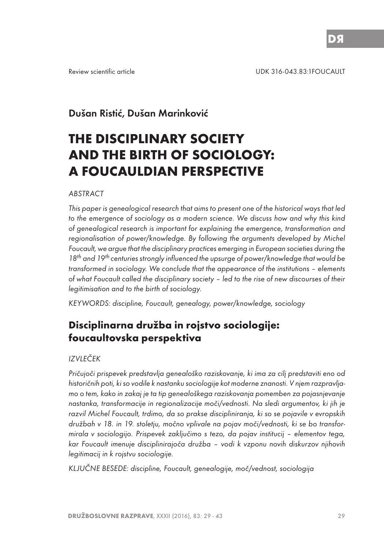# Dušan Ristić, Dušan Marinković

# **THE DISCIPLINARY SOCIETY AND THE BIRTH OF SOCIOLOGY: A FOUCAULDIAN PERSPECTIVE**

#### ABSTRACT

This paper is genealogical research that aims to present one of the historical ways that led to the emergence of sociology as a modern science. We discuss how and why this kind of genealogical research is important for explaining the emergence, transformation and regionalisation of power/knowledge. By following the arguments developed by Michel Foucault, we argue that the disciplinary practices emerging in European societies during the 18<sup>th</sup> and 19<sup>th</sup> centuries strongly influenced the upsurge of power/knowledge that would be transformed in sociology. We conclude that the appearance of the institutions – elements of what Foucault called the disciplinary society – led to the rise of new discourses of their legitimisation and to the birth of sociology.

KEYWORDS: discipline, Foucault, genealogy, power/knowledge, sociology

# **Disciplinarna družba in rojstvo sociologije: foucaultovska perspektiva**

#### IZVLEČEK

Pričujoči prispevek predstavlja genealoško raziskovanje, ki ima za cilj predstaviti eno od historičnih poti, ki so vodile k nastanku sociologije kot moderne znanosti. V njem razpravljamo o tem, kako in zakaj je ta tip genealoškega raziskovanja pomemben za pojasnjevanje nastanka, transformacije in regionalizacije moči/vednosti. Na sledi argumentov, ki jih je razvil Michel Foucault, trdimo, da so prakse discipliniranja, ki so se pojavile v evropskih družbah v 18. in 19. stoletju, močno vplivale na pojav moči/vednosti, ki se bo transformirala v sociologijo. Prispevek zaključimo s tezo, da pojav institucij – elementov tega, kar Foucault imenuje disciplinirajoča družba – vodi k vzponu novih diskurzov njihovih legitimacij in k rojstvu sociologije.

KLJUČNE BESEDE: discipline, Foucault, genealogije, moč/vednost, sociologija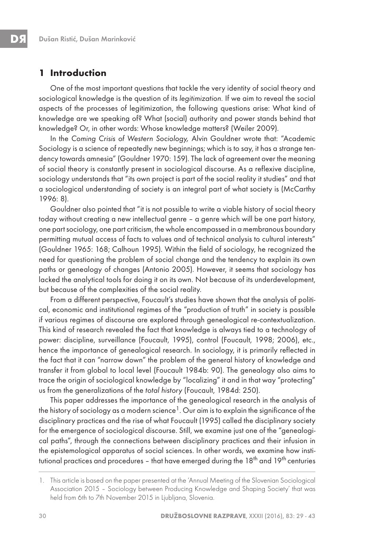### **1 Introduction**

One of the most important questions that tackle the very identity of social theory and sociological knowledge is the question of its legitimization. If we aim to reveal the social aspects of the processes of legitimization, the following questions arise: What kind of knowledge are we speaking of? What (social) authority and power stands behind that knowledge? Or, in other words: Whose knowledge matters? (Weiler 2009).

In the Coming Crisis of Western Sociology, Alvin Gouldner wrote that: "Academic Sociology is a science of repeatedly new beginnings; which is to say, it has a strange tendency towards amnesia" (Gouldner 1970: 159). The lack of agreement over the meaning of social theory is constantly present in sociological discourse. As a reflexive discipline, sociology understands that "its own project is part of the social reality it studies" and that a sociological understanding of society is an integral part of what society is (McCarthy 1996: 8).

Gouldner also pointed that "it is not possible to write a viable history of social theory today without creating a new intellectual genre – a genre which will be one part history, one part sociology, one part criticism, the whole encompassed in a membranous boundary permitting mutual access of facts to values and of technical analysis to cultural interests" (Gouldner 1965: 168; Calhoun 1995). Within the field of sociology, he recognized the need for questioning the problem of social change and the tendency to explain its own paths or genealogy of changes (Antonio 2005). However, it seems that sociology has lacked the analytical tools for doing it on its own. Not because of its underdevelopment, but because of the complexities of the social reality.

From a different perspective, Foucault's studies have shown that the analysis of political, economic and institutional regimes of the "production of truth" in society is possible if various regimes of discourse are explored through genealogical re-contextualization. This kind of research revealed the fact that knowledge is always tied to a technology of power: discipline, surveillance (Foucault, 1995), control (Foucault, 1998; 2006), etc., hence the importance of genealogical research. In sociology, it is primarily reflected in the fact that it can "narrow down" the problem of the general history of knowledge and transfer it from global to local level (Foucault 1984b: 90). The genealogy also aims to trace the origin of sociological knowledge by "localizing" it and in that way "protecting" us from the generalizations of the total history (Foucault, 1984d: 250).

This paper addresses the importance of the genealogical research in the analysis of the history of sociology as a modern science<sup>1</sup>. Our aim is to explain the significance of the disciplinary practices and the rise of what Foucault (1995) called the disciplinary society for the emergence of sociological discourse. Still, we examine just one of the "genealogical paths", through the connections between disciplinary practices and their infusion in the epistemological apparatus of social sciences. In other words, we examine how institutional practices and procedures - that have emerged during the 18<sup>th</sup> and 19<sup>th</sup> centuries

<sup>1.</sup> This article is based on the paper presented at the 'Annual Meeting of the Slovenian Sociological Association 2015 – Sociology between Producing Knowledge and Shaping Society' that was held from 6th to 7th November 2015 in Ljubljana, Slovenia.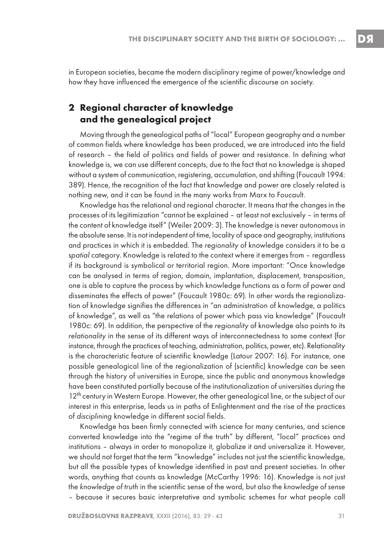in European societies, became the modern disciplinary regime of power/knowledge and how they have influenced the emergence of the scientific discourse on society.

## **2 Regional character of knowledge and the genealogical project**

Moving through the genealogical paths of "local" European geography and a number of common fields where knowledge has been produced, we are introduced into the field of research – the field of politics and fields of power and resistance. In defining what knowledge is, we can use different concepts, due to the fact that no knowledge is shaped without a system of communication, registering, accumulation, and shifting (Foucault 1994: 389). Hence, the recognition of the fact that knowledge and power are closely related is nothing new, and it can be found in the many works from Marx to Foucault.

Knowledge has the relational and regional character. It means that the changes in the processes of its legitimization "cannot be explained – at least not exclusively – in terms of the content of knowledge itself" (Weiler 2009: 3). The knowledge is never autonomous in the absolute sense. It is not independent of time, locality of space and geography, institutions and practices in which it is embedded. The regionality of knowledge considers it to be a spatial category. Knowledge is related to the context where it emerges from – regardless if its background is symbolical or territorial region. More important: "Once knowledge can be analysed in terms of region, domain, implantation, displacement, transposition, one is able to capture the process by which knowledge functions as a form of power and disseminates the effects of power" (Foucault 1980c: 69). In other words the regionalization of knowledge signifies the differences in "an administration of knowledge, a politics of knowledge", as well as "the relations of power which pass via knowledge" (Foucault 1980c: 69). In addition, the perspective of the regionality of knowledge also points to its relationality in the sense of its different ways of interconnectedness to some context (for instance, through the practices of teaching, administration, politics, power, etc). Relationality is the characteristic feature of scientific knowledge (Latour 2007: 16). For instance, one possible genealogical line of the regionalization of (scientific) knowledge can be seen through the history of universities in Europe, since the public and anonymous knowledge have been constituted partially because of the institutionalization of universities during the 12<sup>th</sup> century in Western Europe. However, the other genealogical line, or the subject of our interest in this enterprise, leads us in paths of Enlightenment and the rise of the practices of disciplining knowledge in different social fields.

Knowledge has been firmly connected with science for many centuries, and science converted knowledge into the "regime of the truth" by different, "local" practices and institutions – always in order to monopolize it, globalize it and universalize it. However, we should not forget that the term "knowledge" includes not just the scientific knowledge, but all the possible types of knowledge identified in past and present societies. In other words, anything that counts as knowledge (McCarthy 1996: 16). Knowledge is not just the knowledge of truth in the scientific sense of the word, but also the knowledge of sense – because it secures basic interpretative and symbolic schemes for what people call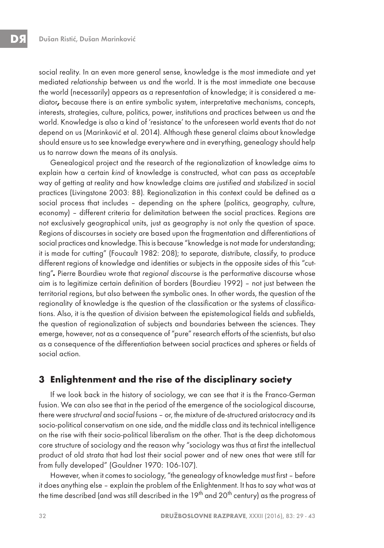social reality. In an even more general sense, knowledge is the most immediate and yet mediated relationship between us and the world. It is the most immediate one because the world (necessarily) appears as a representation of knowledge; it is considered a mediator**,** because there is an entire symbolic system, interpretative mechanisms, concepts, interests, strategies, culture, politics, power, institutions and practices between us and the world. Knowledge is also a kind of 'resistance' to the unforeseen world events that do not depend on us (Marinković et al. 2014). Although these general claims about knowledge should ensure us to see knowledge everywhere and in everything, genealogy should help us to narrow down the means of its analysis.

Genealogical project and the research of the regionalization of knowledge aims to explain how a certain kind of knowledge is constructed, what can pass as acceptable way of getting at reality and how knowledge claims are justified and stabilized in social practices (Livingstone 2003: 88). Regionalization in this context could be defined as a social process that includes – depending on the sphere (politics, geography, culture, economy) – different criteria for delimitation between the social practices. Regions are not exclusively geographical units, just as geography is not only the question of space. Regions of discourses in society are based upon the fragmentation and differentiations of social practices and knowledge. This is because "knowledge is not made for understanding; it is made for cutting" (Foucault 1982: 208); to separate, distribute, classify, to produce different regions of knowledge and identities or subjects in the opposite sides of this "cutting"**.** Pierre Bourdieu wrote that regional discourse is the performative discourse whose aim is to legitimize certain definition of borders (Bourdieu 1992) – not just between the territorial regions, but also between the symbolic ones. In other words, the question of the regionality of knowledge is the question of the classification or the systems of classifications. Also, it is the question of division between the epistemological fields and subfields, the question of regionalization of subjects and boundaries between the sciences. They emerge, however, not as a consequence of "pure" research efforts of the scientists, but also as a consequence of the differentiation between social practices and spheres or fields of social action.

### **3 Enlightenment and the rise of the disciplinary society**

If we look back in the history of sociology, we can see that it is the Franco-German fusion. We can also see that in the period of the emergence of the sociological discourse, there were structural and social fusions – or, the mixture of de-structured aristocracy and its socio-political conservatism on one side, and the middle class and its technical intelligence on the rise with their socio-political liberalism on the other. That is the deep dichotomous core structure of sociology and the reason why "sociology was thus at first the intellectual product of old strata that had lost their social power and of new ones that were still far from fully developed" (Gouldner 1970: 106-107).

However, when it comes to sociology, "the genealogy of knowledge must first – before it does anything else – explain the problem of the Enlightenment. It has to say what was at the time described (and was still described in the 19<sup>th</sup> and 20<sup>th</sup> century) as the progress of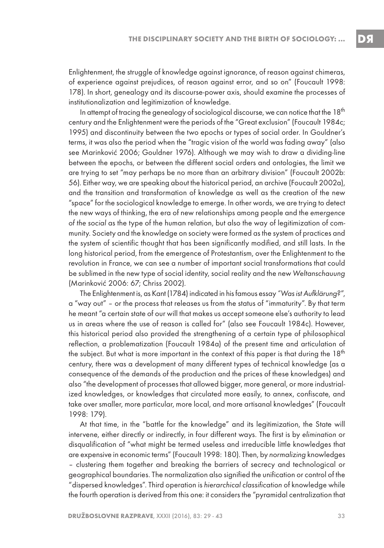Enlightenment, the struggle of knowledge against ignorance, of reason against chimeras, of experience against prejudices, of reason against error, and so on" (Foucault 1998: 178). In short, genealogy and its discourse-power axis, should examine the processes of institutionalization and legitimization of knowledge.

In attempt of tracing the genealogy of sociological discourse, we can notice that the  $18<sup>th</sup>$ century and the Enlightenment were the periods of the "Great exclusion" (Foucault 1984c; 1995) and discontinuity between the two epochs or types of social order. In Gouldner's terms, it was also the period when the "tragic vision of the world was fading away" (also see Marinković 2006; Gouldner 1976). Although we may wish to draw a dividing-line between the epochs, or between the different social orders and ontologies, the limit we are trying to set "may perhaps be no more than an arbitrary division" (Foucault 2002b: 56). Either way, we are speaking about the historical period, an archive (Foucault 2002a), and the transition and transformation of knowledge as well as the creation of the new "space" for the sociological knowledge to emerge. In other words, we are trying to detect the new ways of thinking, the era of new relationships among people and the emergence of the social as the type of the human relation, but also the way of legitimization of community. Society and the knowledge on society were formed as the system of practices and the system of scientific thought that has been significantly modified, and still lasts. In the long historical period, from the emergence of Protestantism, over the Enlightenment to the revolution in France, we can see a number of important social transformations that could be sublimed in the new type of social identity, social reality and the new Weltanschauung (Marinković 2006: 67; Chriss 2002).

The Enlightenment is, as Kant (1784) indicated in his famous essay "Was ist Aufklärung?", a "way out" – or the process that releases us from the status of "immaturity". By that term he meant "a certain state of our will that makes us accept someone else's authority to lead us in areas where the use of reason is called for" (also see Foucault 1984c). However, this historical period also provided the strengthening of a certain type of philosophical reflection, a problematization (Foucault 1984a) of the present time and articulation of the subject. But what is more important in the context of this paper is that during the  $18<sup>th</sup>$ century, there was a development of many different types of technical knowledge (as a consequence of the demands of the production and the prices of these knowledges) and also "the development of processes that allowed bigger, more general, or more industrialized knowledges, or knowledges that circulated more easily, to annex, confiscate, and take over smaller, more particular, more local, and more artisanal knowledges" (Foucault 1998: 179).

At that time, in the "battle for the knowledge" and its legitimization, the State will intervene, either directly or indirectly, in four different ways. The first is by elimination or disqualification of "what might be termed useless and irreducible little knowledges that are expensive in economic terms" (Foucault 1998: 180). Then, by normalizing knowledges – clustering them together and breaking the barriers of secrecy and technological or geographical boundaries. The normalization also signified the unification or control of the "dispersed knowledges". Third operation is hierarchical classification of knowledge while the fourth operation is derived from this one: it considers the "pyramidal centralization that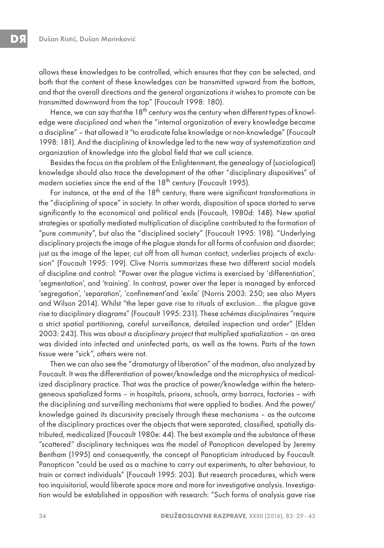allows these knowledges to be controlled, which ensures that they can be selected, and both that the content of these knowledges can be transmitted upward from the bottom, and that the overall directions and the general organizations it wishes to promote can be transmitted downward from the top" (Foucault 1998: 180).

Hence, we can say that the  $18<sup>th</sup>$  century was the century when different types of knowledge were disciplined and when the "internal organization of every knowledge became a discipline" – that allowed it "to eradicate false knowledge or non-knowledge" (Foucault 1998: 181). And the disciplining of knowledge led to the new way of systematization and organization of knowledge into the global field that we call science.

Besides the focus on the problem of the Enlightenment, the genealogy of (sociological) knowledge should also trace the development of the other "disciplinary dispositives" of modern societies since the end of the 18<sup>th</sup> century (Foucault 1995).

For instance, at the end of the  $18<sup>th</sup>$  century, there were significant transformations in the "disciplining of space" in society. In other words, disposition of space started to serve significantly to the economical and political ends (Foucault, 1980d: 148). New spatial strategies or spatially mediated multiplication of discipline contributed to the formation of "pure community", but also the "disciplined society" (Foucault 1995: 198). "Underlying disciplinary projects the image of the plague stands for all forms of confusion and disorder; just as the image of the leper, cut off from all human contact, underlies projects of exclusion" (Foucault 1995: 199). Clive Norris summarizes these two different social models of discipline and control: "Power over the plague victims is exercised by 'differentiation', 'segmentation', and 'training'. In contrast, power over the leper is managed by enforced 'segregation', 'separation', 'confinement'and 'exile' (Norris 2003: 250; see also Myers and Wilson 2014). Whilst "the leper gave rise to rituals of exclusion… the plague gave rise to disciplinary diagrams" (Foucault 1995: 231). These schémas disciplinaires "require a strict spatial partitioning, careful surveillance, detailed inspection and order" (Elden 2003: 243). This was about a disciplinary project that multiplied spatialization – an area was divided into infected and uninfected parts, as well as the towns. Parts of the town tissue were "sick", others were not.

Then we can also see the "dramaturgy of liberation" of the madman, also analyzed by Foucault. It was the differentiation of power/knowledge and the microphysics of medicalized disciplinary practice. That was the practice of power/knowledge within the heterogeneous spatialized forms – in hospitals, prisons, schools, army barracs, factories – with the disciplining and surveilling mechanisms that were applied to bodies. And the power/ knowledge gained its discursivity precisely through these mechanisms – as the outcome of the disciplinary practices over the objects that were separated, classified, spatially distributed, medicalized (Foucault 1980e: 44). The best example and the substance of these "scattered" disciplinary techniques was the model of Panopticon developed by Jeremy Bentham (1995) and consequently, the concept of Panopticism introduced by Foucault. Panopticon "could be used as a machine to carry out experiments, to alter behaviour, to train or correct individuals" (Foucault 1995: 203). But research procedures, which were too inquisitorial, would liberate space more and more for investigative analysis. Investigation would be established in opposition with research: "Such forms of analysis gave rise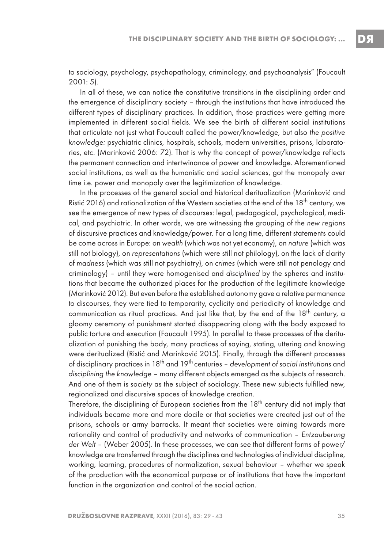to sociology, psychology, psychopathology, criminology, and psychoanalysis" (Foucault 2001: 5).

In all of these, we can notice the constitutive transitions in the disciplining order and the emergence of disciplinary society – through the institutions that have introduced the different types of disciplinary practices. In addition, those practices were getting more implemented in different social fields. We see the birth of different social institutions that articulate not just what Foucault called the power/knowledge, but also the positive knowledge: psychiatric clinics, hospitals, schools, modern universities, prisons, laboratories, etc. (Marinković 2006: 72). That is why the concept of power/knowledge reflects the permanent connection and intertwinance of power and knowledge. Aforementioned social institutions, as well as the humanistic and social sciences, got the monopoly over time i.e. power and monopoly over the legitimization of knowledge.

In the processes of the general social and historical deritualization (Marinković and Ristić 2016) and rationalization of the Western societies at the end of the 18<sup>th</sup> century, we see the emergence of new types of discourses: legal, pedagogical, psychological, medical, and psychiatric. In other words, we are witnessing the grouping of the new regions of discursive practices and knowledge/power. For a long time, different statements could be come across in Europe: on wealth (which was not yet economy), on nature (which was still not biology), on representations (which were still not philology), on the lack of clarity of madness (which was still not psychiatry), on crimes (which were still not penology and criminology) – until they were homogenised and disciplined by the spheres and institutions that became the authorized places for the production of the legitimate knowledge (Marinković 2012). But even before the established autonomy gave a relative permanence to discourses, they were tied to temporarity, cyclicity and periodicity of knowledge and communication as ritual practices. And just like that, by the end of the  $18<sup>th</sup>$  century, a gloomy ceremony of punishment started disappearing along with the body exposed to public torture and execution (Foucault 1995). In parallel to these processes of the deritualization of punishing the body, many practices of saying, stating, uttering and knowing were deritualized (Ristić and Marinković 2015). Finally, through the different processes of disciplinary practices in  $18<sup>th</sup>$  and  $19<sup>th</sup>$  centuries – development of social institutions and disciplining the knowledge – many different objects emerged as the subjects of research. And one of them is society as the subject of sociology. These new subjects fulfilled new, regionalized and discursive spaces of knowledge creation.

Therefore, the disciplining of European societies from the 18<sup>th</sup> century did not imply that individuals became more and more docile or that societies were created just out of the prisons, schools or army barracks. It meant that societies were aiming towards more rationality and control of productivity and networks of communication – Entzauberung der Welt – (Weber 2005). In these processes, we can see that different forms of power/ knowledge are transferred through the disciplines and technologies of individual discipline, working, learning, procedures of normalization, sexual behaviour – whether we speak of the production with the economical purpose or of institutions that have the important function in the organization and control of the social action.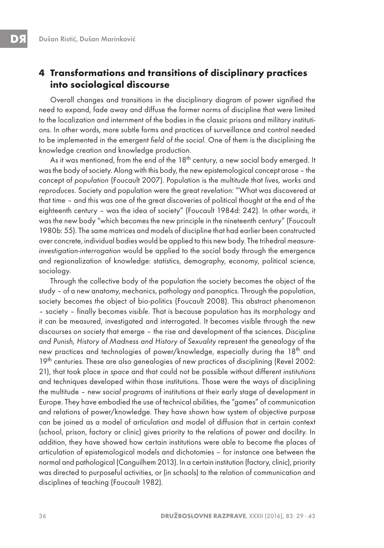### **4 Transformations and transitions of disciplinary practices into sociological discourse**

Overall changes and transitions in the disciplinary diagram of power signified the need to expand, fade away and diffuse the former norms of discipline that were limited to the localization and internment of the bodies in the classic prisons and military institutions. In other words, more subtle forms and practices of surveillance and control needed to be implemented in the emergent field of the social. One of them is the disciplining the knowledge creation and knowledge production.

As it was mentioned, from the end of the 18<sup>th</sup> century, a new social body emerged. It was the body of society. Along with this body, the new epistemological concept arose – the concept of population (Foucault 2007). Population is the multitude that lives, works and reproduces. Society and population were the great revelation: "What was discovered at that time – and this was one of the great discoveries of political thought at the end of the eighteenth century – was the idea of society" (Foucault 1984d: 242). In other words, it was the new body "which becomes the new principle in the nineteenth century" (Foucault 1980b: 55). The same matrices and models of discipline that had earlier been constructed over concrete, individual bodies would be applied to this new body. The trihedral measureinvestigation-interrogation would be applied to the social body through the emergence and regionalization of knowledge: statistics, demography, economy, political science, sociology.

Through the collective body of the population the society becomes the object of the study – of a new anatomy, mechanics, pathology and panoptics. Through the population, society becomes the object of bio-politics (Foucault 2008). This abstract phenomenon – society – finally becomes visible. That is because population has its morphology and it can be measured, investigated and interrogated. It becomes visible through the new discourses on society that emerge – the rise and development of the sciences. Discipline and Punish, History of Madness and History of Sexuality represent the genealogy of the new practices and technologies of power/knowledge, especially during the 18<sup>th</sup> and 19<sup>th</sup> centuries. These are also genealogies of new practices of disciplining (Revel 2002: 21), that took place in space and that could not be possible without different institutions and techniques developed within those institutions. Those were the ways of disciplining the multitude – new social programs of institutions at their early stage of development in Europe. They have embodied the use of technical abilities, the "games" of communication and relations of power/knowledge. They have shown how system of objective purpose can be joined as a model of articulation and model of diffusion that in certain context (school, prison, factory or clinic) gives priority to the relations of power and docility. In addition, they have showed how certain institutions were able to become the places of articulation of epistemological models and dichotomies – for instance one between the normal and pathological (Canguilhem 2013). In a certain institution (factory, clinic), priority was directed to purposeful activities, or (in schools) to the relation of communication and disciplines of teaching (Foucault 1982).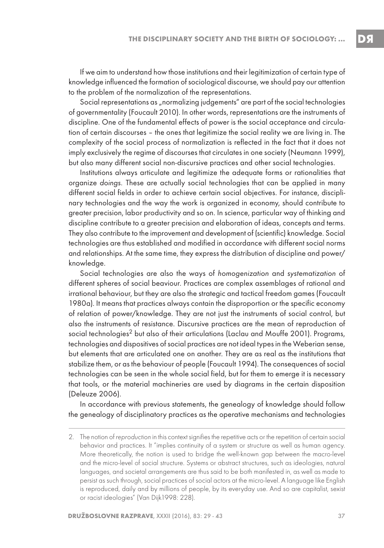If we aim to understand how those institutions and their legitimization of certain type of knowledge influenced the formation of sociological discourse, we should pay our attention to the problem of the normalization of the representations.

Social representations as "normalizing judgements" are part of the social technologies of governmentality (Foucault 2010). In other words, representations are the instruments of discipline. One of the fundamental effects of power is the social acceptance and circulation of certain discourses – the ones that legitimize the social reality we are living in. The complexity of the social process of normalization is reflected in the fact that it does not imply exclusively the regime of discourses that circulates in one society (Neumann 1999), but also many different social non-discursive practices and other social technologies.

Institutions always articulate and legitimize the adequate forms or rationalities that organize doings. These are actually social technologies that can be applied in many different social fields in order to achieve certain social objectives. For instance, disciplinary technologies and the way the work is organized in economy, should contribute to greater precision, labor productivity and so on. In science, particular way of thinking and discipline contribute to a greater precision and elaboration of ideas, concepts and terms. They also contribute to the improvement and development of (scientific) knowledge. Social technologies are thus established and modified in accordance with different social norms and relationships. At the same time, they express the distribution of discipline and power/ knowledge.

Social technologies are also the ways of homogenization and systematization of different spheres of social beaviour. Practices are complex assemblages of rational and irrational behaviour, but they are also the strategic and tactical freedom games (Foucault 1980a). It means that practices always contain the disproportion or the specific economy of relation of power/knowledge. They are not just the instruments of social control, but also the instruments of resistance. Discursive practices are the mean of reproduction of social technologies<sup>2</sup> but also of their articulations (Laclau and Mouffe 2001). Programs, technologies and dispositives of social practices are not ideal types in the Weberian sense, but elements that are articulated one on another. They are as real as the institutions that stabilize them, or as the behaviour of people (Foucault 1994). The consequences of social technologies can be seen in the whole social field, but for them to emerge it is necessary that tools, or the material machineries are used by diagrams in the certain disposition (Deleuze 2006).

In accordance with previous statements, the genealogy of knowledge should follow the genealogy of disciplinatory practices as the operative mechanisms and technologies

<sup>2.</sup> The notion of reproduction in this context signifies the repetitive acts or the repetition of certain social behavior and practices. It "implies continuity of a system or structure as well as human agency. More theoretically, the notion is used to bridge the well-known gap between the macro-level and the micro-level of social structure. Systems or abstract structures, such as ideologies, natural languages, and societal arrangements are thus said to be both manifested in, as well as made to persist as such through, social practices of social actors at the micro-level. A language like English is reproduced, daily and by millions of people, by its everyday use. And so are capitalist, sexist or racist ideologies" (Van Dijk1998: 228).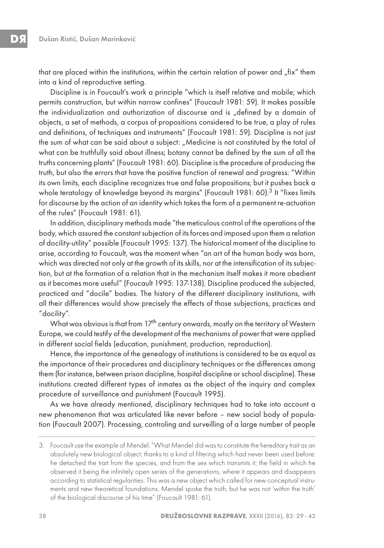that are placed within the institutions, within the certain relation of power and "fix" them into a kind of reproductive setting.

Discipline is in Foucault's work a principle "which is itself relative and mobile; which permits construction, but within narrow confines" (Foucault 1981: 59). It makes possible the individualization and authorization of discourse and is "defined by a domain of objects, a set of methods, a corpus of propositions considered to be true, a play of rules and definitions, of techniques and instruments" (Foucault 1981: 59). Discipline is not just the sum of what can be said about a subject: "Medicine is not constituted by the total of what can be truthfully said about illness; botany cannot be defined by the sum of all the truths concerning plants" (Foucault 1981: 60). Discipline is the procedure of producing the truth, but also the errors that have the positive function of renewal and progress: "Within its own limits, each discipline recognizes true and false propositions; but it pushes back a whole teratology of knowledge beyond its margins" (Foucault 1981: 60).<sup>3</sup> It "fixes limits for discourse by the action of an identity which takes the form of a permanent re-actuation of the rules" (Foucault 1981: 61).

In addition, disciplinary methods made "the meticulous control of the operations of the body, which assured the constant subjection of its forces and imposed upon them a relation of docility-utility" possible (Foucault 1995: 137). The historical moment of the discipline to arise, according to Foucault, was the moment when "an art of the human body was born, which was directed not only at the growth of its skills, nor at the intensification of its subjection, but at the formation of a relation that in the mechanism itself makes it more obedient as it becomes more useful" (Foucault 1995: 137-138). Discipline produced the subjected, practiced and "docile" bodies. The history of the different disciplinary institutions, with all their differences would show precisely the effects of those subjections, practices and "docility".

What was obvious is that from 17<sup>th</sup> century onwards, mostly on the territory of Western Europe, we could testify of the development of the mechanisms of power that were applied in different social fields (education, punishment, production, reproduction).

Hence, the importance of the genealogy of institutions is considered to be as equal as the importance of their procedures and disciplinary techniques or the differences among them (for instance, between prison discipline, hospital discipline or school discipline). These institutions created different types of inmates as the object of the inquiry and complex procedure of surveillance and punishment (Foucault 1995).

As we have already mentioned, disciplinary techniques had to take into account a new phenomenon that was articulated like never before – new social body of population (Foucault 2007). Processing, controling and surveilling of a large number of people

<sup>3.</sup> Foucault use the example of Mendel: "What Mendel did was to constitute the hereditary trait as an absolutely new biological object, thanks to a kind of filtering which had never been used before: he detached the trait from the species, and from the sex which transmits it; the field in which he observed it being the infinitely open series of the generations, where it appears and disappears according to statistical regularities. This was a new object which called for new conceptual instruments and new theoretical foundations. Mendel spoke the truth, but he was not 'within the truth' of the biological discourse of his time" (Foucault 1981: 61).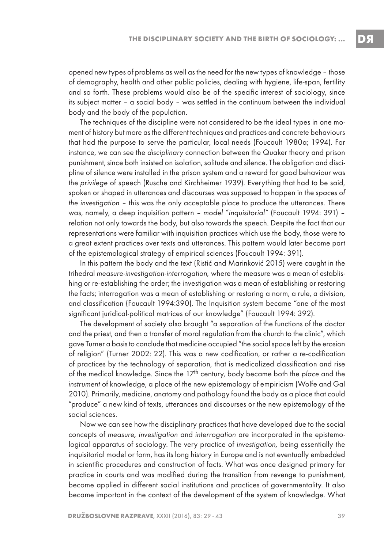opened new types of problems as well as the need for the new types of knowledge – those of demography, health and other public policies, dealing with hygiene, life-span, fertility and so forth. These problems would also be of the specific interest of sociology, since its subject matter – a social body – was settled in the continuum between the individual body and the body of the population.

The techniques of the discipline were not considered to be the ideal types in one moment of history but more as the different techniques and practices and concrete behaviours that had the purpose to serve the particular, local needs (Foucault 1980a; 1994). For instance, we can see the disciplinary connection between the Quaker theory and prison punishment, since both insisted on isolation, solitude and silence. The obligation and discipline of silence were installed in the prison system and a reward for good behaviour was the privilege of speech (Rusche and Kirchheimer 1939). Everything that had to be said, spoken or shaped in utterances and discourses was supposed to happen in the spaces of the investigation – this was the only acceptable place to produce the utterances. There was, namely, a deep inquisition pattern – model "inquisitorial" (Foucault 1994: 391) – relation not only towards the body, but also towards the speech. Despite the fact that our representations were familiar with inquisition practices which use the body, those were to a great extent practices over texts and utterances. This pattern would later become part of the epistemological strategy of empirical sciences (Foucault 1994: 391).

In this pattern the body and the text (Ristić and Marinković 2015) were caught in the trihedral measure-investigation-interrogation, where the measure was a mean of establishing or re-establishing the order; the investigation was a mean of establishing or restoring the facts; interrogation was a mean of establishing or restoring a norm, a rule, a division, and classification (Foucault 1994:390). The Inquisition system became "one of the most significant juridical-political matrices of our knowledge" (Foucault 1994: 392).

The development of society also brought "a separation of the functions of the doctor and the priest, and then a transfer of moral regulation from the church to the clinic", which gave Turner a basis to conclude that medicine occupied "the social space left by the erosion of religion" (Turner 2002: 22). This was a new codification, or rather a re-codification of practices by the technology of separation, that is medicalized classification and rise of the medical knowledge. Since the  $17<sup>th</sup>$  century, body became both the place and the instrument of knowledge, a place of the new epistemology of empiricism (Wolfe and Gal 2010). Primarily, medicine, anatomy and pathology found the body as a place that could "produce" a new kind of texts, utterances and discourses or the new epistemology of the social sciences.

Now we can see how the disciplinary practices that have developed due to the social concepts of measure, investigation and interrogation are incorporated in the epistemological apparatus of sociology. The very practice of investigation, being essentially the inquisitorial model or form, has its long history in Europe and is not eventually embedded in scientific procedures and construction of facts. What was once designed primary for practice in courts and was modified during the transition from revenge to punishment, become applied in different social institutions and practices of governmentality. It also became important in the context of the development of the system of knowledge. What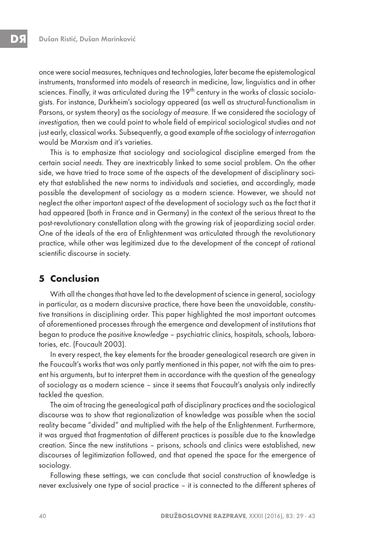once were social measures, techniques and technologies, later became the epistemological instruments, transformed into models of research in medicine, law, linguistics and in other sciences. Finally, it was articulated during the 19<sup>th</sup> century in the works of classic sociologists. For instance, Durkheim's sociology appeared (as well as structural-functionalism in Parsons, or system theory) as the sociology of measure. If we considered the sociology of investigation, then we could point to whole field of empirical sociological studies and not just early, classical works. Subsequently, a good example of the sociology of interrogation would be Marxism and it's varieties.

This is to emphasize that sociology and sociological discipline emerged from the certain social needs. They are inextricably linked to some social problem. On the other side, we have tried to trace some of the aspects of the development of disciplinary society that established the new norms to individuals and societies, and accordingly, made possible the development of sociology as a modern science. However, we should not neglect the other important aspect of the development of sociology such as the fact that it had appeared (both in France and in Germany) in the context of the serious threat to the post-revolutionary constellation along with the growing risk of jeopardizing social order. One of the ideals of the era of Enlightenment was articulated through the revolutionary practice, while other was legitimized due to the development of the concept of rational scientific discourse in society.

### **5 Conclusion**

With all the changes that have led to the development of science in general, sociology in particular, as a modern discursive practice, there have been the unavoidable, constitutive transitions in disciplining order. This paper highlighted the most important outcomes of aforementioned processes through the emergence and development of institutions that began to produce the positive knowledge – psychiatric clinics, hospitals, schools, laboratories, etc. (Foucault 2003).

In every respect, the key elements for the broader genealogical research are given in the Foucault's works that was only partly mentioned in this paper, not with the aim to present his arguments, but to interpret them in accordance with the question of the genealogy of sociology as a modern science – since it seems that Foucault's analysis only indirectly tackled the question.

The aim of tracing the genealogical path of disciplinary practices and the sociological discourse was to show that regionalization of knowledge was possible when the social reality became "divided" and multiplied with the help of the Enlightenment. Furthermore, it was argued that fragmentation of different practices is possible due to the knowledge creation. Since the new institutions – prisons, schools and clinics were established, new discourses of legitimization followed, and that opened the space for the emergence of sociology.

Following these settings, we can conclude that social construction of knowledge is never exclusively one type of social practice – it is connected to the different spheres of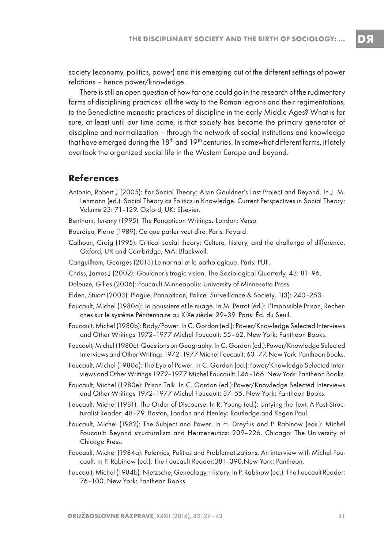society (economy, politics, power) and it is emerging out of the different settings of power relations – hence power/knowledge.

There is still an open question of how far one could go in the research of the rudimentary forms of disciplining practices: all the way to the Roman legions and their regimentations, to the Benedictine monastic practices of discipline in the early Middle Ages? What is for sure, at least until our time came, is that society has become the primary generator of discipline and normalization – through the network of social institutions and knowledge that have emerged during the  $18<sup>th</sup>$  and  $19<sup>th</sup>$  centuries. In somewhat different forms, it lately overtook the organized social life in the Western Europe and beyond.

#### **References**

- Antonio, Robert J (2005): For Social Theory: Alvin Gouldner's Last Project and Beyond. In J. M. Lehmann (ed.): Social Theory as Politics in Knowledge. Current Perspectives in Social Theory: Volume 23: 71–129. Oxford, UK: Elsevier.
- Bentham, Jeremy (1995): The Panopticon Writings**.** London: Verso.
- Bourdieu, Pierre (1989): Ce que parler veut dire. Paris: Fayard.
- Calhoun, Craig (1995): Critical social theory: Culture, history, and the challenge of difference. Oxford, UK and Cambridge, MA: Blackwell.
- Canguilhem, Georges (2013):Le normal et le pathologique. Paris: PUF.
- Chriss, James J (2002): Gouldner's tragic vision. The Sociological Quarterly, 43: 81–96.
- Deleuze, Gilles (2006): Foucault.Minneapolis: University of Minnesotta Press.
- Elden, Stuart (2003): Plague, Panopticon, Police. Surveillance & Society, 1(3): 240–253.
- Foucault, Michel (1980a): La poussiere et le nuage. In M. Perrot (éd.): L'Impossible Prison, Recherches sur le système Pénitentiaire au XIXe siècle: 29-39. Paris: Éd. du Seuil.
- Foucault, Michel (1980b): Body/Power. In C. Gordon (ed.): Power/Knowledge Selected Interviews and Other Writings 1972–1977 Michel Foucault: 55–62. New York: Pantheon Books.
- Foucault, Michel (1980c): Questions on Geography. In C. Gordon (ed.):Power/Knowledge Selected Interviews and Other Writings 1972–1977 Michel Foucault: 63–77. New York: Pantheon Books.
- Foucault, Michel (1980d): The Eye of Power. In C. Gordon (ed.):Power/Knowledge Selected Interviews and Other Writings 1972–1977 Michel Foucault: 146–166. New York: Pantheon Books.
- Foucault, Michel (1980e): Prison Talk. In C. Gordon (ed.):Power/Knowledge Selected Interviews and Other Writings 1972–1977 Michel Foucault: 37–55. New York: Pantheon Books.
- Foucault, Michel (1981): The Order of Discourse. In R. Young (ed.): Untying the Text: A Post-Structuralist Reader: 48–79. Boston, London and Henley: Routledge and Kegan Paul.
- Foucault, Michel (1982): The Subject and Power. In H. Dreyfus and P. Rabinow (eds.): Michel Foucault: Beyond structuralism and Hermeneutics: 209–226. Chicago: The University of Chicago Press.
- Foucault, Michel (1984a): Polemics, Politics and Problematizations. An interview with Michel Foucault. In P. Rabinow (ed.): The Foucault Reader:381–390.New York: Pantheon.
- Foucault, Michel (1984b): Nietzsche, Genealogy, History. In P. Rabinow (ed.): The Foucault Reader: 76–100. New York: Pantheon Books.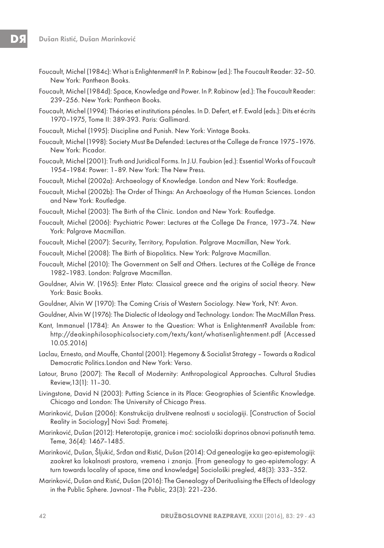- Foucault, Michel (1984c): What is Enlightenment? In P. Rabinow (ed.): The Foucault Reader: 32–50. New York: Pantheon Books.
- Foucault, Michel (1984d): Space, Knowledge and Power. In P. Rabinow (ed.): The Foucault Reader: 239–256. New York: Pantheon Books.
- Foucault, Michel (1994): Théories et institutions pénales. In D. Defert, et F. Ewald (eds.): Dits et écrits 1970–1975, Tome II: 389-393. Paris: Gallimard.
- Foucault, Michel (1995): Discipline and Punish. New York: Vintage Books.
- Foucault, Michel (1998): Society Must Be Defended: Lectures at the College de France 1975–1976. New York: Picador.
- Foucault, Michel (2001): Truth and Juridical Forms. In J.U. Faubion (ed.): Essential Works of Foucault 1954–1984: Power: 1–89. New York: The New Press.
- Foucault, Michel (2002a): Archaeology of Knowledge. London and New York: Routledge.
- Foucault, Michel (2002b): The Order of Things: An Archaeology of the Human Sciences. London and New York: Routledge.
- Foucault, Michel (2003): The Birth of the Clinic. London and New York: Routledge.
- Foucault, Michel (2006): Psychiatric Power: Lectures at the College De France, 1973–74. New York: Palgrave Macmillan.
- Foucault, Michel (2007): Security, Territory, Population. Palgrave Macmillan, New York.
- Foucault, Michel (2008): The Birth of Biopolitics. New York: Palgrave Macmillan.
- Foucault, Michel (2010): The Government on Self and Others. Lectures at the Collège de France 1982–1983. London: Palgrave Macmillan.
- Gouldner, Alvin W. (1965): Enter Plato: Classical greece and the origins of social theory. New York: Basic Books.
- Gouldner, Alvin W (1970): The Coming Crisis of Western Sociology. New York, NY: Avon.
- Gouldner, Alvin W (1976): The Dialectic of Ideology and Technology. London: The MacMillan Press.
- Kant, Immanuel (1784): An Answer to the Question: What is Enlightenment? Available from: http://deakinphilosophicalsociety.com/texts/kant/whatisenlightenment.pdf (Accessed 10.05.2016)
- Laclau, Ernesto, and Mouffe, Chantal (2001): Hegemony & Socialist Strategy Towards a Radical Democratic Politics.London and New York: Verso.
- Latour, Bruno (2007): The Recall of Modernity: Anthropological Approaches. Cultural Studies Review,13(1): 11–30.
- Livingstone, David N (2003): Putting Science in its Place: Geographies of Scientific Knowledge. Chicago and London: The University of Chicago Press.
- Marinković, Dušan (2006): Konstrukcija društvene realnosti u sociologiji. [Construction of Social Reality in Sociology] Novi Sad: Prometej.
- Marinković, Dušan (2012): Heterotopije, granice i moć: sociološki doprinos obnovi potisnutih tema. Teme, 36(4): 1467–1485.
- Marinković, Dušan, Šljukić, Srđan and Ristić, Dušan (2014): Od genealogije ka geo-epistemologiji: zaokret ka lokalnosti prostora, vremena i znanja. [From genealogy to geo-epistemology: A turn towards locality of space, time and knowledge] Sociološki pregled, 48(3): 333–352.
- Marinković, Dušan and Ristić, Dušan (2016): The Genealogy of Deritualising the Effects of Ideology in the Public Sphere. Javnost - The Public, 23(3): 221–236.